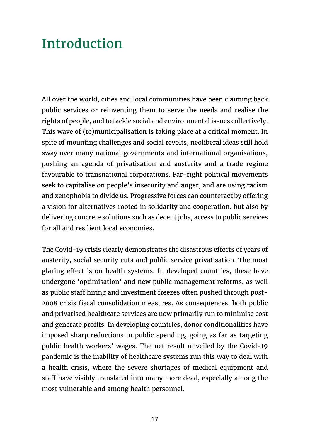All over the world, cities and local communities have been claiming back public services or reinventing them to serve the needs and realise the rights of people, and to tackle social and environmental issues collectively. This wave of (re)municipalisation is taking place at a critical moment. In spite of mounting challenges and social revolts, neoliberal ideas still hold sway over many national governments and international organisations, pushing an agenda of privatisation and austerity and a trade regime favourable to transnational corporations. Far-right political movements seek to capitalise on people's insecurity and anger, and are using racism and xenophobia to divide us. Progressive forces can counteract by offering a vision for alternatives rooted in solidarity and cooperation, but also by delivering concrete solutions such as decent jobs, access to public services for all and resilient local economies.

The Covid-19 crisis clearly demonstrates the disastrous effects of years of austerity, social security cuts and public service privatisation. The most glaring effect is on health systems. In developed countries, these have undergone 'optimisation' and new public management reforms, as well as public staff hiring and investment freezes often pushed through post-2008 crisis fiscal consolidation measures. As consequences, both public and privatised healthcare services are now primarily run to minimise cost and generate profits. In developing countries, donor conditionalities have imposed sharp reductions in public spending, going as far as targeting public health workers' wages. The net result unveiled by the Covid-19 pandemic is the inability of healthcare systems run this way to deal with a health crisis, where the severe shortages of medical equipment and staff have visibly translated into many more dead, especially among the most vulnerable and among health personnel.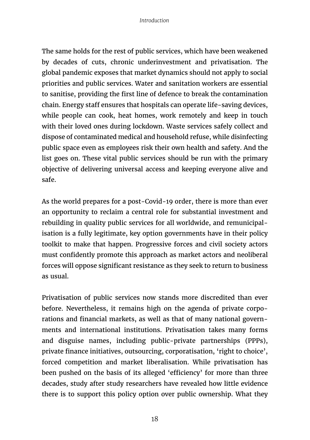The same holds for the rest of public services, which have been weakened by decades of cuts, chronic underinvestment and privatisation. The global pandemic exposes that market dynamics should not apply to social priorities and public services. Water and sanitation workers are essential to sanitise, providing the first line of defence to break the contamination chain. Energy staff ensures that hospitals can operate life-saving devices, while people can cook, heat homes, work remotely and keep in touch with their loved ones during lockdown. Waste services safely collect and dispose of contaminated medical and household refuse, while disinfecting public space even as employees risk their own health and safety. And the list goes on. These vital public services should be run with the primary objective of delivering universal access and keeping everyone alive and safe.

As the world prepares for a post-Covid-19 order, there is more than ever an opportunity to reclaim a central role for substantial investment and rebuilding in quality public services for all worldwide, and remunicipalisation is a fully legitimate, key option governments have in their policy toolkit to make that happen. Progressive forces and civil society actors must confidently promote this approach as market actors and neoliberal forces will oppose significant resistance as they seek to return to business as usual.

Privatisation of public services now stands more discredited than ever before. Nevertheless, it remains high on the agenda of private corporations and financial markets, as well as that of many national governments and international institutions. Privatisation takes many forms and disguise names, including public-private partnerships (PPPs), private finance initiatives, outsourcing, corporatisation, 'right to choice', forced competition and market liberalisation. While privatisation has been pushed on the basis of its alleged 'efficiency' for more than three decades, study after study researchers have revealed how little evidence there is to support this policy option over public ownership. What they

18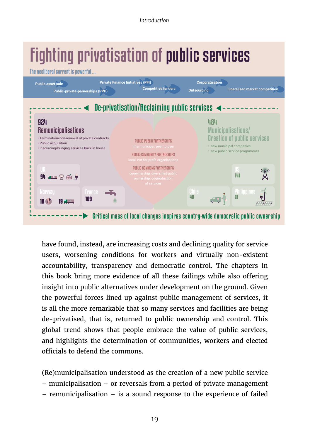# Fighting privatisation of public services

The neoliberal current is powerful ...



have found, instead, are increasing costs and declining quality for service users, worsening conditions for workers and virtually non-existent accountability, transparency and democratic control. The chapters in this book bring more evidence of all these failings while also offering insight into public alternatives under development on the ground. Given the powerful forces lined up against public management of services, it is all the more remarkable that so many services and facilities are being de-privatised, that is, returned to public ownership and control. This global trend shows that people embrace the value of public services, and highlights the determination of communities, workers and elected officials to defend the commons.

(Re)municipalisation understood as the creation of a new public service – municipalisation – or reversals from a period of private management – remunicipalisation – is a sound response to the experience of failed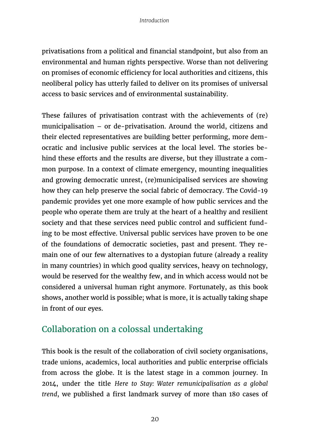privatisations from a political and financial standpoint, but also from an environmental and human rights perspective. Worse than not delivering on promises of economic efficiency for local authorities and citizens, this neoliberal policy has utterly failed to deliver on its promises of universal access to basic services and of environmental sustainability.

These failures of privatisation contrast with the achievements of (re) municipalisation – or de-privatisation. Around the world, citizens and their elected representatives are building better performing, more democratic and inclusive public services at the local level. The stories behind these efforts and the results are diverse, but they illustrate a common purpose. In a context of climate emergency, mounting inequalities and growing democratic unrest, (re)municipalised services are showing how they can help preserve the social fabric of democracy. The Covid-19 pandemic provides yet one more example of how public services and the people who operate them are truly at the heart of a healthy and resilient society and that these services need public control and sufficient funding to be most effective. Universal public services have proven to be one of the foundations of democratic societies, past and present. They remain one of our few alternatives to a dystopian future (already a reality in many countries) in which good quality services, heavy on technology, would be reserved for the wealthy few, and in which access would not be considered a universal human right anymore. Fortunately, as this book shows, another world is possible; what is more, it is actually taking shape in front of our eyes.

### Collaboration on a colossal undertaking

This book is the result of the collaboration of civil society organisations, trade unions, academics, local authorities and public enterprise officials from across the globe. It is the latest stage in a common journey. In 2014, under the title *Here to Stay: Water remunicipalisation as a global trend*, we published a first landmark survey of more than 180 cases of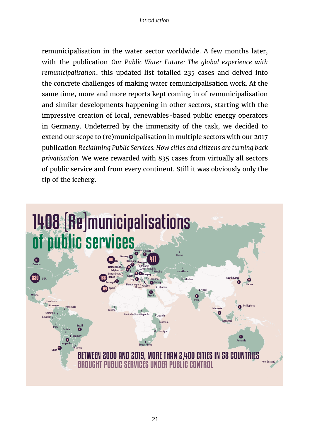remunicipalisation in the water sector worldwide. A few months later, with the publication *Our Public Water Future: The global experience with remunicipalisation*, this updated list totalled 235 cases and delved into the concrete challenges of making water remunicipalisation work. At the same time, more and more reports kept coming in of remunicipalisation and similar developments happening in other sectors, starting with the impressive creation of local, renewables-based public energy operators in Germany. Undeterred by the immensity of the task, we decided to extend our scope to (re)municipalisation in multiple sectors with our 2017 publication *Reclaiming Public Services: How cities and citizens are turning back privatisation.* We were rewarded with 835 cases from virtually all sectors of public service and from every continent. Still it was obviously only the tip of the iceberg.

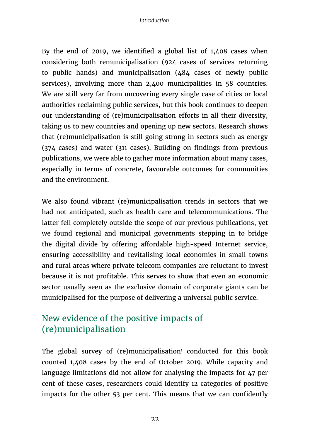By the end of 2019, we identified a global list of 1,408 cases when considering both remunicipalisation (924 cases of services returning to public hands) and municipalisation (484 cases of newly public services), involving more than 2,400 municipalities in 58 countries. We are still very far from uncovering every single case of cities or local authorities reclaiming public services, but this book continues to deepen our understanding of (re)municipalisation efforts in all their diversity, taking us to new countries and opening up new sectors. Research shows that (re)municipalisation is still going strong in sectors such as energy (374 cases) and water (311 cases). Building on findings from previous publications, we were able to gather more information about many cases, especially in terms of concrete, favourable outcomes for communities and the environment.

We also found vibrant (re)municipalisation trends in sectors that we had not anticipated, such as health care and telecommunications. The latter fell completely outside the scope of our previous publications, yet we found regional and municipal governments stepping in to bridge the digital divide by offering affordable high-speed Internet service, ensuring accessibility and revitalising local economies in small towns and rural areas where private telecom companies are reluctant to invest because it is not profitable. This serves to show that even an economic sector usually seen as the exclusive domain of corporate giants can be municipalised for the purpose of delivering a universal public service.

## New evidence of the positive impacts of (re)municipalisation

The global survey of (re)municipalisation $^1$  conducted for this book counted 1,408 cases by the end of October 2019. While capacity and language limitations did not allow for analysing the impacts for 47 per cent of these cases, researchers could identify 12 categories of positive impacts for the other 53 per cent. This means that we can confidently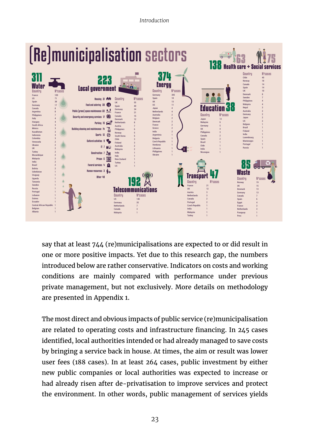

say that at least 744 (re)municipalisations are expected to or did result in one or more positive impacts. Yet due to this research gap, the numbers introduced below are rather conservative. Indicators on costs and working conditions are mainly compared with performance under previous private management, but not exclusively. More details on methodology are presented in Appendix 1.

The most direct and obvious impacts of public service (re)municipalisation are related to operating costs and infrastructure financing. In 245 cases identified, local authorities intended or had already managed to save costs by bringing a service back in house. At times, the aim or result was lower user fees (188 cases). In at least 264 cases, public investment by either new public companies or local authorities was expected to increase or had already risen after de-privatisation to improve services and protect the environment. In other words, public management of services yields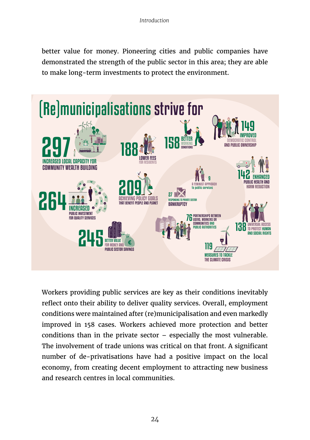better value for money. Pioneering cities and public companies have demonstrated the strength of the public sector in this area; they are able to make long-term investments to protect the environment.



Workers providing public services are key as their conditions inevitably reflect onto their ability to deliver quality services. Overall, employment conditions were maintained after (re)municipalisation and even markedly improved in 158 cases. Workers achieved more protection and better conditions than in the private sector – especially the most vulnerable. The involvement of trade unions was critical on that front. A significant number of de-privatisations have had a positive impact on the local economy, from creating decent employment to attracting new business and research centres in local communities.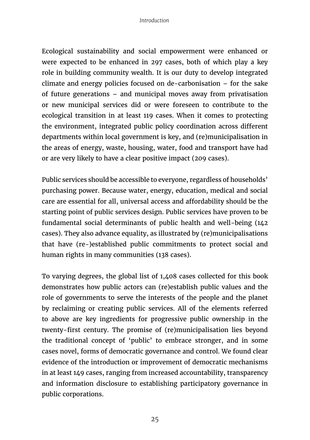Ecological sustainability and social empowerment were enhanced or were expected to be enhanced in 297 cases, both of which play a key role in building community wealth. It is our duty to develop integrated climate and energy policies focused on de-carbonisation – for the sake of future generations – and municipal moves away from privatisation or new municipal services did or were foreseen to contribute to the ecological transition in at least 119 cases. When it comes to protecting the environment, integrated public policy coordination across different departments within local government is key, and (re)municipalisation in the areas of energy, waste, housing, water, food and transport have had or are very likely to have a clear positive impact (209 cases).

Public services should be accessible to everyone, regardless of households' purchasing power. Because water, energy, education, medical and social care are essential for all, universal access and affordability should be the starting point of public services design. Public services have proven to be fundamental social determinants of public health and well-being (142 cases). They also advance equality, as illustrated by (re)municipalisations that have (re-)established public commitments to protect social and human rights in many communities (138 cases).

To varying degrees, the global list of 1,408 cases collected for this book demonstrates how public actors can (re)establish public values and the role of governments to serve the interests of the people and the planet by reclaiming or creating public services. All of the elements referred to above are key ingredients for progressive public ownership in the twenty-first century. The promise of (re)municipalisation lies beyond the traditional concept of 'public' to embrace stronger, and in some cases novel, forms of democratic governance and control. We found clear evidence of the introduction or improvement of democratic mechanisms in at least 149 cases, ranging from increased accountability, transparency and information disclosure to establishing participatory governance in public corporations.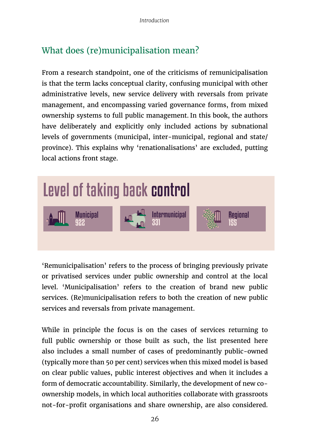# What does (re)municipalisation mean?

From a research standpoint, one of the criticisms of remunicipalisation is that the term lacks conceptual clarity, confusing municipal with other administrative levels, new service delivery with reversals from private management, and encompassing varied governance forms, from mixed ownership systems to full public management. In this book, the authors have deliberately and explicitly only included actions by subnational levels of governments (municipal, inter-municipal, regional and state/ province). This explains why 'renationalisations' are excluded, putting local actions front stage.



'Remunicipalisation' refers to the process of bringing previously private or privatised services under public ownership and control at the local level. 'Municipalisation' refers to the creation of brand new public services. (Re)municipalisation refers to both the creation of new public services and reversals from private management.

While in principle the focus is on the cases of services returning to full public ownership or those built as such, the list presented here also includes a small number of cases of predominantly public-owned (typically more than 50 per cent) services when this mixed model is based on clear public values, public interest objectives and when it includes a form of democratic accountability. Similarly, the development of new coownership models, in which local authorities collaborate with grassroots not-for-profit organisations and share ownership, are also considered.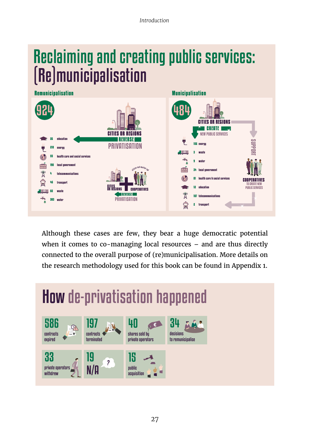# Reclaiming and creating public services: (Re)municipalisation



Although these cases are few, they bear a huge democratic potential when it comes to co-managing local resources – and are thus directly connected to the overall purpose of (re)municipalisation. More details on the research methodology used for this book can be found in Appendix 1.

#### How de-privatisation happened decisions to remunicipalise 34 nrivate operator withdrew 33 contracts expired 586 contracts terminated 197 shares sold by private operators <u>ur</u> public acquisition 15 N/A 19 ?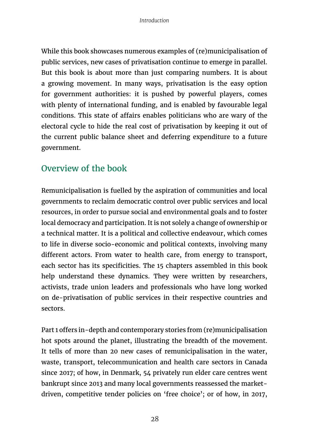While this book showcases numerous examples of (re)municipalisation of public services, new cases of privatisation continue to emerge in parallel. But this book is about more than just comparing numbers. It is about a growing movement. In many ways, privatisation is the easy option for government authorities: it is pushed by powerful players, comes with plenty of international funding, and is enabled by favourable legal conditions. This state of affairs enables politicians who are wary of the electoral cycle to hide the real cost of privatisation by keeping it out of the current public balance sheet and deferring expenditure to a future government.

### Overview of the book

Remunicipalisation is fuelled by the aspiration of communities and local governments to reclaim democratic control over public services and local resources, in order to pursue social and environmental goals and to foster local democracy and participation. It is not solely a change of ownership or a technical matter. It is a political and collective endeavour, which comes to life in diverse socio-economic and political contexts, involving many different actors. From water to health care, from energy to transport, each sector has its specificities. The 15 chapters assembled in this book help understand these dynamics. They were written by researchers, activists, trade union leaders and professionals who have long worked on de-privatisation of public services in their respective countries and sectors.

Part 1 offers in-depth and contemporary stories from (re)municipalisation hot spots around the planet, illustrating the breadth of the movement. It tells of more than 20 new cases of remunicipalisation in the water, waste, transport, telecommunication and health care sectors in Canada since 2017; of how, in Denmark, 54 privately run elder care centres went bankrupt since 2013 and many local governments reassessed the marketdriven, competitive tender policies on 'free choice'; or of how, in 2017,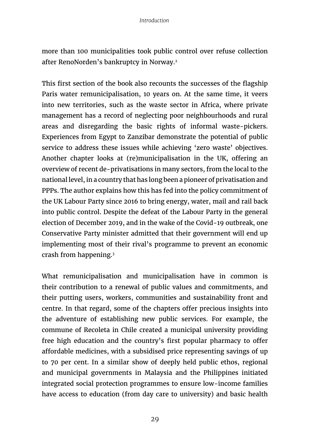more than 100 municipalities took public control over refuse collection after RenoNorden's bankruptcy in Norway.2

This first section of the book also recounts the successes of the flagship Paris water remunicipalisation, 10 years on. At the same time, it veers into new territories, such as the waste sector in Africa, where private management has a record of neglecting poor neighbourhoods and rural areas and disregarding the basic rights of informal waste-pickers. Experiences from Egypt to Zanzibar demonstrate the potential of public service to address these issues while achieving 'zero waste' objectives. Another chapter looks at (re)municipalisation in the UK, offering an overview of recent de-privatisations in many sectors, from the local to the national level, in a country that has long been a pioneer of privatisation and PPPs. The author explains how this has fed into the policy commitment of the UK Labour Party since 2016 to bring energy, water, mail and rail back into public control. Despite the defeat of the Labour Party in the general election of December 2019, and in the wake of the Covid-19 outbreak, one Conservative Party minister admitted that their government will end up implementing most of their rival's programme to prevent an economic crash from happening.3

What remunicipalisation and municipalisation have in common is their contribution to a renewal of public values and commitments, and their putting users, workers, communities and sustainability front and centre. In that regard, some of the chapters offer precious insights into the adventure of establishing new public services. For example, the commune of Recoleta in Chile created a municipal university providing free high education and the country's first popular pharmacy to offer affordable medicines, with a subsidised price representing savings of up to 70 per cent. In a similar show of deeply held public ethos, regional and municipal governments in Malaysia and the Philippines initiated integrated social protection programmes to ensure low-income families have access to education (from day care to university) and basic health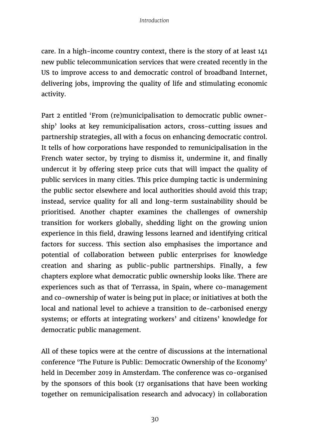care. In a high-income country context, there is the story of at least 141 new public telecommunication services that were created recently in the US to improve access to and democratic control of broadband Internet, delivering jobs, improving the quality of life and stimulating economic activity.

Part 2 entitled 'From (re)municipalisation to democratic public ownership' looks at key remunicipalisation actors, cross-cutting issues and partnership strategies, all with a focus on enhancing democratic control. It tells of how corporations have responded to remunicipalisation in the French water sector, by trying to dismiss it, undermine it, and finally undercut it by offering steep price cuts that will impact the quality of public services in many cities. This price dumping tactic is undermining the public sector elsewhere and local authorities should avoid this trap; instead, service quality for all and long-term sustainability should be prioritised. Another chapter examines the challenges of ownership transition for workers globally, shedding light on the growing union experience in this field, drawing lessons learned and identifying critical factors for success. This section also emphasises the importance and potential of collaboration between public enterprises for knowledge creation and sharing as public-public partnerships. Finally, a few chapters explore what democratic public ownership looks like. There are experiences such as that of Terrassa, in Spain, where co-management and co-ownership of water is being put in place; or initiatives at both the local and national level to achieve a transition to de-carbonised energy systems; or efforts at integrating workers' and citizens' knowledge for democratic public management.

All of these topics were at the centre of discussions at the international conference 'The Future is Public: Democratic Ownership of the Economy' held in December 2019 in Amsterdam. The conference was co-organised by the sponsors of this book (17 organisations that have been working together on remunicipalisation research and advocacy) in collaboration

30